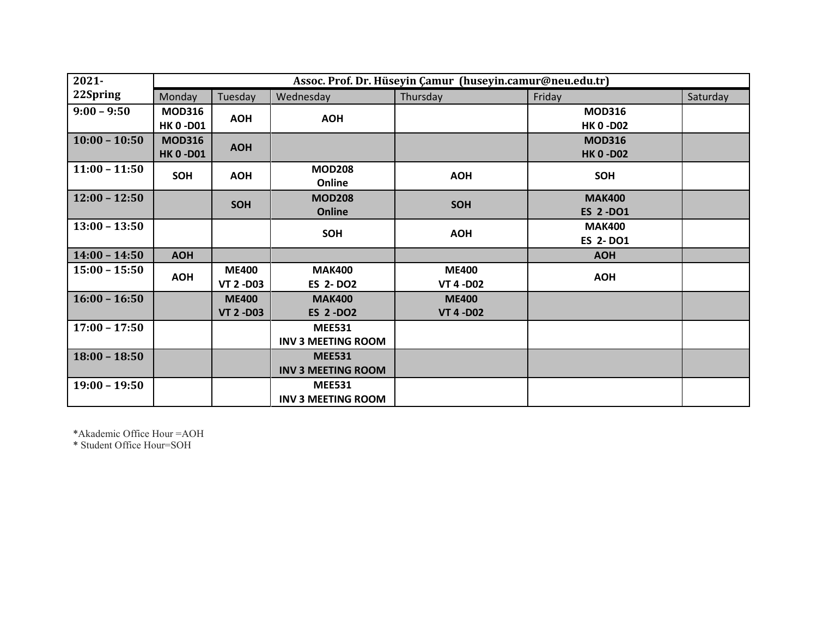| $2021 -$        | Assoc. Prof. Dr. Hüseyin Çamur (huseyin.camur@neu.edu.tr) |                                  |                                            |                                  |                                   |          |  |
|-----------------|-----------------------------------------------------------|----------------------------------|--------------------------------------------|----------------------------------|-----------------------------------|----------|--|
| 22Spring        | Monday                                                    | Tuesday                          | Wednesday                                  | Thursday                         | Friday                            | Saturday |  |
| $9:00 - 9:50$   | <b>MOD316</b><br><b>HK 0 -D01</b>                         | <b>AOH</b>                       | <b>AOH</b>                                 |                                  | <b>MOD316</b><br><b>HK 0 -D02</b> |          |  |
| $10:00 - 10:50$ | <b>MOD316</b><br><b>HK 0-D01</b>                          | <b>AOH</b>                       |                                            |                                  | <b>MOD316</b><br><b>HK 0 -D02</b> |          |  |
| $11:00 - 11:50$ | <b>SOH</b>                                                | <b>AOH</b>                       | <b>MOD208</b><br>Online                    | <b>AOH</b>                       | <b>SOH</b>                        |          |  |
| $12:00 - 12:50$ |                                                           | <b>SOH</b>                       | <b>MOD208</b><br>Online                    | <b>SOH</b>                       | <b>MAK400</b><br><b>ES 2-DO1</b>  |          |  |
| $13:00 - 13:50$ |                                                           |                                  | SOH                                        | <b>AOH</b>                       | <b>MAK400</b><br><b>ES 2-DO1</b>  |          |  |
| $14:00 - 14:50$ | <b>AOH</b>                                                |                                  |                                            |                                  | <b>AOH</b>                        |          |  |
| $15:00 - 15:50$ | <b>AOH</b>                                                | <b>ME400</b><br><b>VT 2 -D03</b> | <b>MAK400</b><br><b>ES 2-DO2</b>           | <b>ME400</b><br><b>VT 4 -D02</b> | <b>AOH</b>                        |          |  |
| $16:00 - 16:50$ |                                                           | <b>ME400</b><br><b>VT 2 -D03</b> | <b>MAK400</b><br><b>ES 2-DO2</b>           | <b>ME400</b><br><b>VT 4 -D02</b> |                                   |          |  |
| $17:00 - 17:50$ |                                                           |                                  | <b>MEE531</b><br><b>INV 3 MEETING ROOM</b> |                                  |                                   |          |  |
| $18:00 - 18:50$ |                                                           |                                  | <b>MEE531</b><br><b>INV 3 MEETING ROOM</b> |                                  |                                   |          |  |
| $19:00 - 19:50$ |                                                           |                                  | <b>MEE531</b><br><b>INV 3 MEETING ROOM</b> |                                  |                                   |          |  |

\*Akademic Office Hour =AOH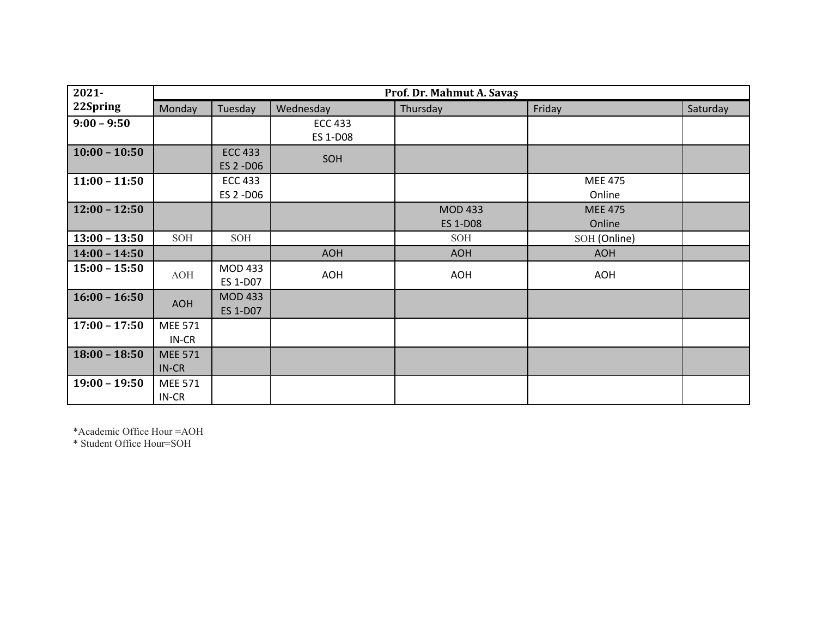| $2021 -$        | Prof. Dr. Mahmut A. Savaş |                                   |                            |                                   |                          |          |  |
|-----------------|---------------------------|-----------------------------------|----------------------------|-----------------------------------|--------------------------|----------|--|
| 22Spring        | Monday                    | Tuesday                           | Wednesday                  | Thursday                          | Friday                   | Saturday |  |
| $9:00 - 9:50$   |                           |                                   | <b>ECC 433</b><br>ES 1-D08 |                                   |                          |          |  |
| $10:00 - 10:50$ |                           | <b>ECC 433</b><br>ES 2 -D06       | SOH                        |                                   |                          |          |  |
| $11:00 - 11:50$ |                           | <b>ECC 433</b><br>ES 2 -D06       |                            |                                   | <b>MEE 475</b><br>Online |          |  |
| $12:00 - 12:50$ |                           |                                   |                            | <b>MOD 433</b><br><b>ES 1-D08</b> | <b>MEE 475</b><br>Online |          |  |
| $13:00 - 13:50$ | SOH                       | SOH                               |                            | SOH                               | SOH (Online)             |          |  |
| $14:00 - 14:50$ |                           |                                   | <b>AOH</b>                 | <b>AOH</b>                        | <b>AOH</b>               |          |  |
| $15:00 - 15:50$ | <b>AOH</b>                | <b>MOD 433</b><br>ES 1-D07        | <b>AOH</b>                 | <b>AOH</b>                        | <b>AOH</b>               |          |  |
| $16:00 - 16:50$ | <b>AOH</b>                | <b>MOD 433</b><br><b>ES 1-D07</b> |                            |                                   |                          |          |  |
| $17:00 - 17:50$ | <b>MEE 571</b><br>IN-CR   |                                   |                            |                                   |                          |          |  |
| $18:00 - 18:50$ | <b>MEE 571</b><br>IN-CR   |                                   |                            |                                   |                          |          |  |
| $19:00 - 19:50$ | <b>MEE 571</b><br>IN-CR   |                                   |                            |                                   |                          |          |  |

\*Academic Office Hour =AOH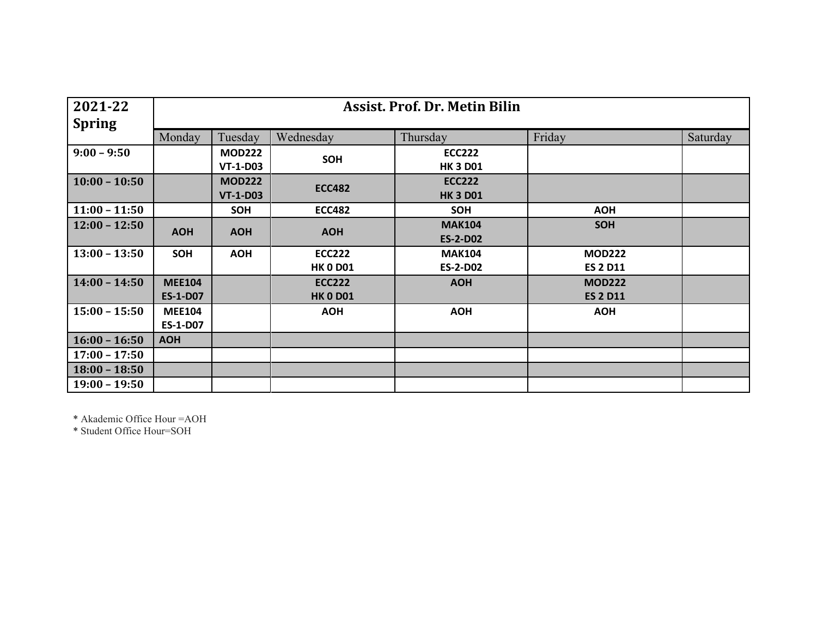| 2021-22         | <b>Assist. Prof. Dr. Metin Bilin</b> |                 |                 |                 |                 |          |  |  |  |
|-----------------|--------------------------------------|-----------------|-----------------|-----------------|-----------------|----------|--|--|--|
| <b>Spring</b>   |                                      |                 |                 |                 |                 |          |  |  |  |
|                 | Monday<br>Tuesday                    |                 | Wednesday       | Thursday        | Friday          | Saturday |  |  |  |
| $9:00 - 9:50$   |                                      | <b>MOD222</b>   |                 | <b>ECC222</b>   |                 |          |  |  |  |
|                 |                                      | <b>VT-1-D03</b> | SOH             | <b>HK 3 D01</b> |                 |          |  |  |  |
| $10:00 - 10:50$ |                                      | <b>MOD222</b>   |                 | <b>ECC222</b>   |                 |          |  |  |  |
|                 |                                      | <b>VT-1-D03</b> | <b>ECC482</b>   | <b>HK 3 D01</b> |                 |          |  |  |  |
| $11:00 - 11:50$ |                                      | <b>SOH</b>      | <b>ECC482</b>   | <b>SOH</b>      | <b>AOH</b>      |          |  |  |  |
| $12:00 - 12:50$ |                                      |                 |                 | <b>MAK104</b>   | <b>SOH</b>      |          |  |  |  |
|                 | <b>AOH</b>                           | <b>AOH</b>      | <b>AOH</b>      | <b>ES-2-D02</b> |                 |          |  |  |  |
| $13:00 - 13:50$ | <b>SOH</b>                           | <b>AOH</b>      | <b>ECC222</b>   | <b>MAK104</b>   | <b>MOD222</b>   |          |  |  |  |
|                 |                                      |                 | <b>HK 0 D01</b> | <b>ES-2-D02</b> | <b>ES 2 D11</b> |          |  |  |  |
| $14:00 - 14:50$ | <b>MEE104</b>                        |                 | <b>ECC222</b>   | <b>AOH</b>      | <b>MOD222</b>   |          |  |  |  |
|                 | <b>ES-1-D07</b>                      |                 | <b>HK 0 D01</b> |                 | <b>ES 2 D11</b> |          |  |  |  |
| $15:00 - 15:50$ | <b>MEE104</b>                        |                 | <b>AOH</b>      | <b>AOH</b>      | <b>AOH</b>      |          |  |  |  |
|                 | <b>ES-1-D07</b>                      |                 |                 |                 |                 |          |  |  |  |
| $16:00 - 16:50$ | <b>AOH</b>                           |                 |                 |                 |                 |          |  |  |  |
| $17:00 - 17:50$ |                                      |                 |                 |                 |                 |          |  |  |  |
| $18:00 - 18:50$ |                                      |                 |                 |                 |                 |          |  |  |  |
| $19:00 - 19:50$ |                                      |                 |                 |                 |                 |          |  |  |  |

\* Akademic Office Hour =AOH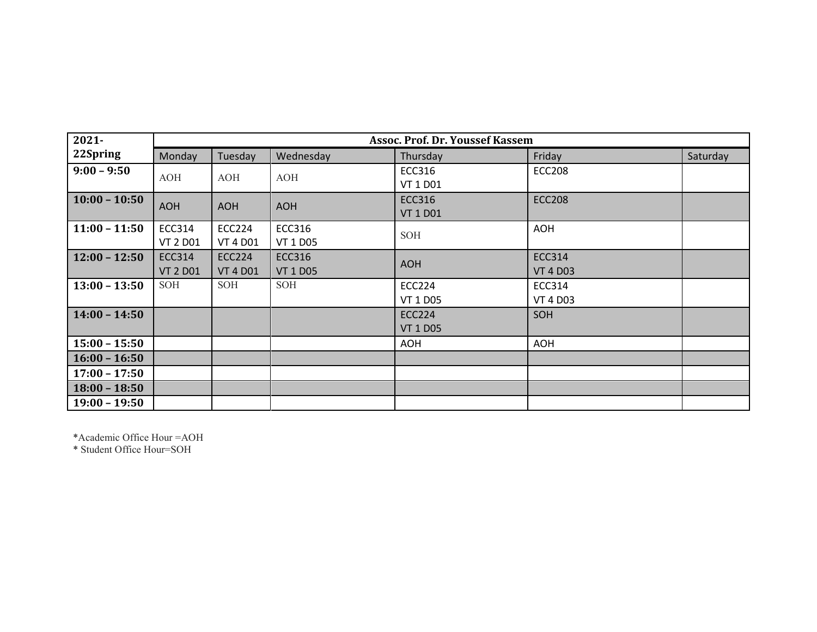| $2021 -$        | <b>Assoc. Prof. Dr. Youssef Kassem</b> |                 |                 |                 |                 |          |  |
|-----------------|----------------------------------------|-----------------|-----------------|-----------------|-----------------|----------|--|
| 22Spring        | Monday                                 | Tuesday         | Wednesday       | Thursday        | Friday          | Saturday |  |
| $9:00 - 9:50$   | <b>AOH</b>                             | AOH             | AOH             | <b>ECC316</b>   | <b>ECC208</b>   |          |  |
|                 |                                        |                 |                 | VT 1 D01        |                 |          |  |
| $10:00 - 10:50$ | <b>AOH</b>                             | <b>AOH</b>      | <b>AOH</b>      | <b>ECC316</b>   | <b>ECC208</b>   |          |  |
|                 |                                        |                 |                 | <b>VT 1 D01</b> |                 |          |  |
| $11:00 - 11:50$ | <b>ECC314</b>                          | <b>ECC224</b>   | ECC316          | <b>SOH</b>      | <b>AOH</b>      |          |  |
|                 | <b>VT 2 D01</b>                        | <b>VT 4 D01</b> | <b>VT 1 D05</b> |                 |                 |          |  |
| $12:00 - 12:50$ | <b>ECC314</b>                          | <b>ECC224</b>   | <b>ECC316</b>   | <b>AOH</b>      | <b>ECC314</b>   |          |  |
|                 | <b>VT 2 D01</b>                        | <b>VT 4 D01</b> | <b>VT 1 D05</b> |                 | <b>VT 4 D03</b> |          |  |
| $13:00 - 13:50$ | SOH                                    | SOH             | <b>SOH</b>      | <b>ECC224</b>   | <b>ECC314</b>   |          |  |
|                 |                                        |                 |                 | VT 1 D05        | <b>VT 4 D03</b> |          |  |
| $14:00 - 14:50$ |                                        |                 |                 | <b>ECC224</b>   | SOH             |          |  |
|                 |                                        |                 |                 | <b>VT 1 D05</b> |                 |          |  |
| $15:00 - 15:50$ |                                        |                 |                 | <b>AOH</b>      | <b>AOH</b>      |          |  |
| $16:00 - 16:50$ |                                        |                 |                 |                 |                 |          |  |
| $17:00 - 17:50$ |                                        |                 |                 |                 |                 |          |  |
| $18:00 - 18:50$ |                                        |                 |                 |                 |                 |          |  |
| $19:00 - 19:50$ |                                        |                 |                 |                 |                 |          |  |

\*Academic Office Hour =AOH